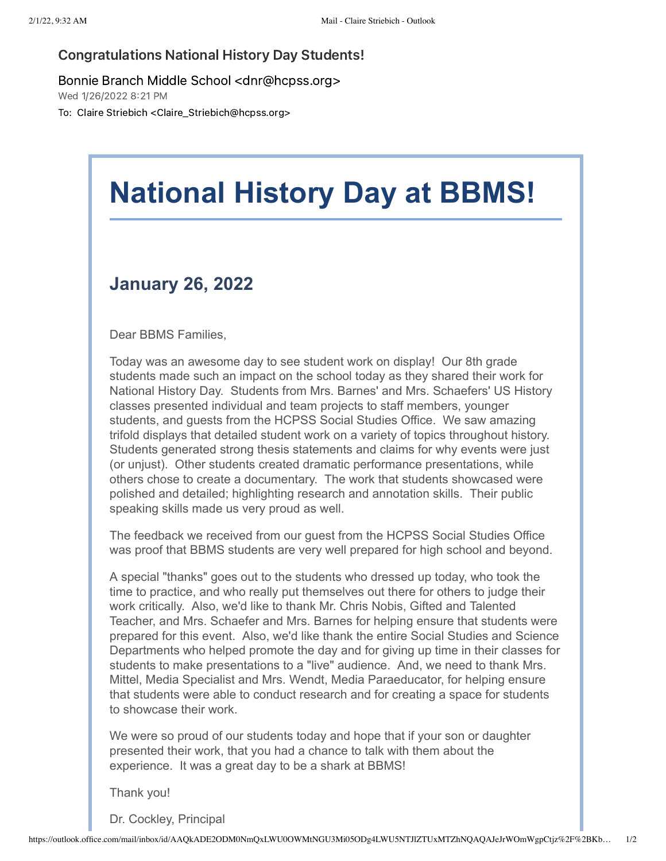## Congratulations National History Day Students!

Bonnie Branch Middle School <dnr@hcpss.org>

Wed 1/26/2022 8:21 PM

To: Claire Striebich <Claire\_Striebich@hcpss.org>

## **National History Day at BBMS!**

## **January 26, 2022**

Dear BBMS Families,

Today was an awesome day to see student work on display! Our 8th grade students made such an impact on the school today as they shared their work for National History Day. Students from Mrs. Barnes' and Mrs. Schaefers' US History classes presented individual and team projects to staff members, younger students, and guests from the HCPSS Social Studies Office. We saw amazing trifold displays that detailed student work on a variety of topics throughout history. Students generated strong thesis statements and claims for why events were just (or unjust). Other students created dramatic performance presentations, while others chose to create a documentary. The work that students showcased were polished and detailed; highlighting research and annotation skills. Their public speaking skills made us very proud as well.

The feedback we received from our guest from the HCPSS Social Studies Office was proof that BBMS students are very well prepared for high school and beyond.

A special "thanks" goes out to the students who dressed up today, who took the time to practice, and who really put themselves out there for others to judge their work critically. Also, we'd like to thank Mr. Chris Nobis, Gifted and Talented Teacher, and Mrs. Schaefer and Mrs. Barnes for helping ensure that students were prepared for this event. Also, we'd like thank the entire Social Studies and Science Departments who helped promote the day and for giving up time in their classes for students to make presentations to a "live" audience. And, we need to thank Mrs. Mittel, Media Specialist and Mrs. Wendt, Media Paraeducator, for helping ensure that students were able to conduct research and for creating a space for students to showcase their work.

We were so proud of our students today and hope that if your son or daughter presented their work, that you had a chance to talk with them about the experience. It was a great day to be a shark at BBMS!

Thank you!

Dr. Cockley, Principal